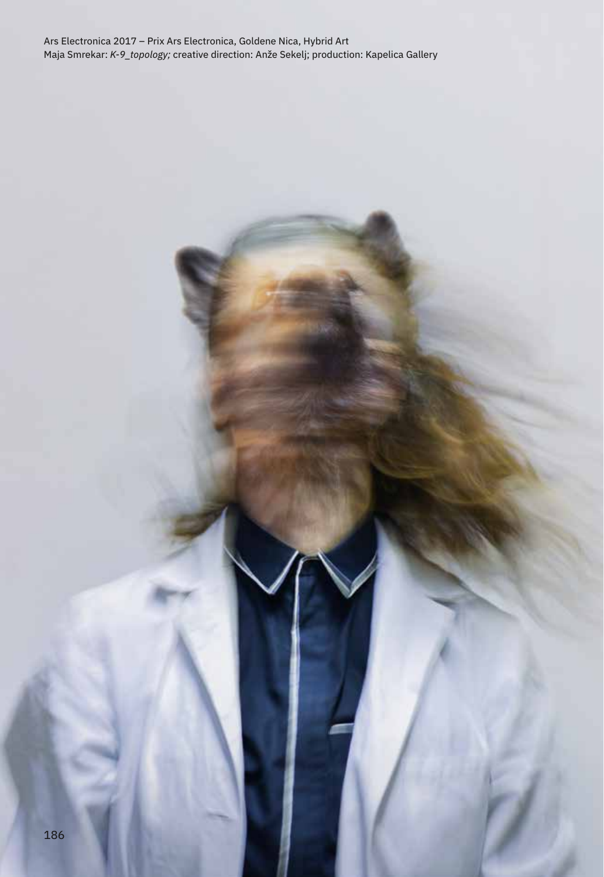Ars Electronica 2017 – Prix Ars Electronica, Goldene Nica, Hybrid Art Maja Smrekar: *K-9\_topology;* creative direction: Anže Sekelj; production: Kapelica Gallery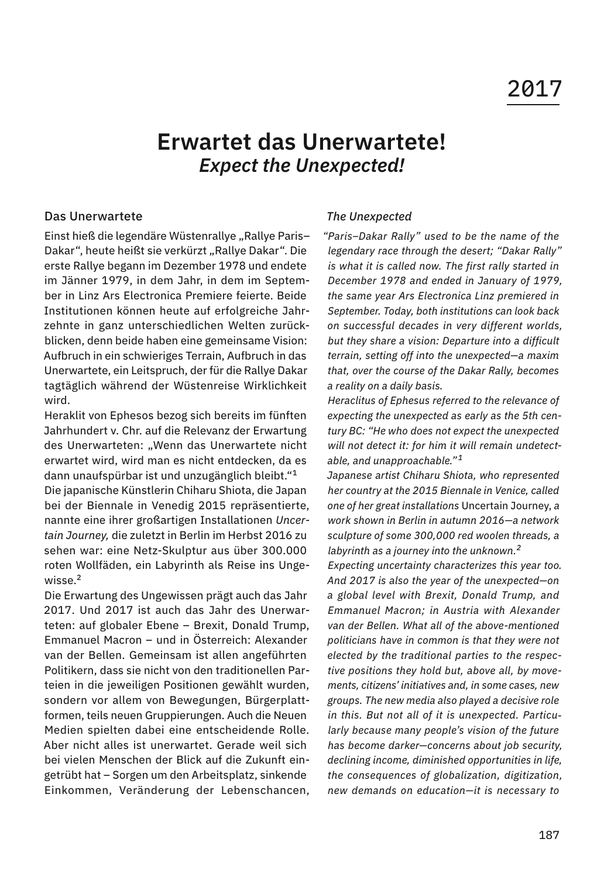# 2017

## **Erwartet das Unerwartete!** *Expect the Unexpected!*

#### Das Unerwartete

Einst hieß die legendäre Wüstenrallye "Rallye Paris-Dakar", heute heißt sie verkürzt "Rallye Dakar". Die erste Rallye begann im Dezember 1978 und endete im Jänner 1979, in dem Jahr, in dem im September in Linz Ars Electronica Premiere feierte. Beide Institutionen können heute auf erfolgreiche Jahrzehnte in ganz unterschiedlichen Welten zurückblicken, denn beide haben eine gemeinsame Vision: Aufbruch in ein schwieriges Terrain, Aufbruch in das Unerwartete, ein Leitspruch, der für die Rallye Dakar tagtäglich während der Wüstenreise Wirklichkeit wird.

Heraklit von Ephesos bezog sich bereits im fünften Jahrhundert v. Chr. auf die Relevanz der Erwartung des Unerwarteten: "Wenn das Unerwartete nicht erwartet wird, wird man es nicht entdecken, da es dann unaufspürbar ist und unzugänglich bleibt."<sup>1</sup>

Die japanische Künstlerin Chiharu Shiota, die Japan bei der Biennale in Venedig 2015 repräsentierte, nannte eine ihrer großartigen Installationen *Uncertain Journey,* die zuletzt in Berlin im Herbst 2016 zu sehen war: eine Netz-Skulptur aus über 300.000 roten Wollfäden, ein Labyrinth als Reise ins Ungewisse.<sup>2</sup>

Die Erwartung des Ungewissen prägt auch das Jahr 2017. Und 2017 ist auch das Jahr des Unerwarteten: auf globaler Ebene – Brexit, Donald Trump, Emmanuel Macron – und in Österreich: Alexander van der Bellen. Gemeinsam ist allen angeführten Politikern, dass sie nicht von den traditionellen Parteien in die jeweiligen Positionen gewählt wurden, sondern vor allem von Bewegungen, Bürgerplattformen, teils neuen Gruppierungen. Auch die Neuen Medien spielten dabei eine entscheidende Rolle. Aber nicht alles ist unerwartet. Gerade weil sich bei vielen Menschen der Blick auf die Zukunft eingetrübt hat – Sorgen um den Arbeitsplatz, sinkende Einkommen, Veränderung der Lebenschancen,

#### *The Unexpected*

*"Paris–Dakar Rally" used to be the name of the legendary race through the desert; "Dakar Rally" is what it is called now. The first rally started in December 1978 and ended in January of 1979, the same year Ars Electronica Linz premiered in September. Today, both institutions can look back on successful decades in very different worlds, but they share a vision: Departure into a difficult terrain, setting off into the unexpected—a maxim that, over the course of the Dakar Rally, becomes a reality on a daily basis.*

*Heraclitus of Ephesus referred to the relevance of expecting the unexpected as early as the 5th century BC: "He who does not expect the unexpected will not detect it: for him it will remain undetectable, and unapproachable." <sup>1</sup>*

*Japanese artist Chiharu Shiota, who represented her country at the 2015 Biennale in Venice, called one of her great installations* Uncertain Journey, *a work shown in Berlin in autumn 2016—a network sculpture of some 300,000 red woolen threads, a labyrinth as a journey into the unknown.<sup>2</sup>*

*Expecting uncertainty characterizes this year too. And 2017 is also the year of the unexpected—on a global level with Brexit, Donald Trump, and Emmanuel Macron; in Austria with Alexander van der Bellen. What all of the above-mentioned politicians have in common is that they were not elected by the traditional parties to the respective positions they hold but, above all, by movements, citizens' initiatives and, in some cases, new groups. The new media also played a decisive role in this. But not all of it is unexpected. Particularly because many people's vision of the future has become darker—concerns about job security, declining income, diminished opportunities in life, the consequences of globalization, digitization, new demands on education—it is necessary to*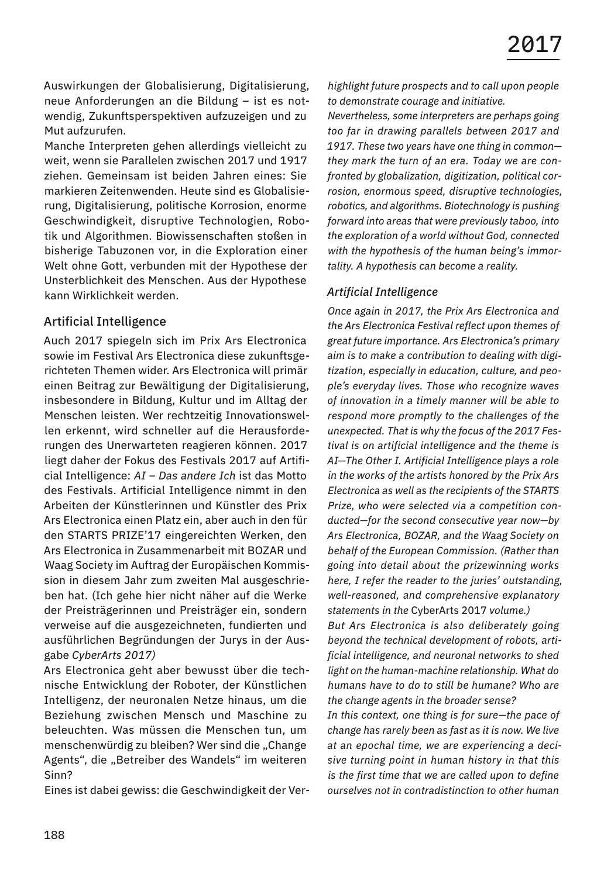Auswirkungen der Globalisierung, Digitalisierung, neue Anforderungen an die Bildung – ist es notwendig, Zukunftsperspektiven aufzuzeigen und zu Mut aufzurufen.

Manche Interpreten gehen allerdings vielleicht zu weit, wenn sie Parallelen zwischen 2017 und 1917 ziehen. Gemeinsam ist beiden Jahren eines: Sie markieren Zeitenwenden. Heute sind es Globalisierung, Digitalisierung, politische Korrosion, enorme Geschwindigkeit, disruptive Technologien, Robotik und Algorithmen. Biowissenschaften stoßen in bisherige Tabuzonen vor, in die Exploration einer Welt ohne Gott, verbunden mit der Hypothese der Unsterblichkeit des Menschen. Aus der Hypothese kann Wirklichkeit werden.

#### Artificial Intelligence

Auch 2017 spiegeln sich im Prix Ars Electronica sowie im Festival Ars Electronica diese zukunftsgerichteten Themen wider. Ars Electronica will primär einen Beitrag zur Bewältigung der Digitalisierung, insbesondere in Bildung, Kultur und im Alltag der Menschen leisten. Wer rechtzeitig Innovationswellen erkennt, wird schneller auf die Herausforderungen des Unerwarteten reagieren können. 2017 liegt daher der Fokus des Festivals 2017 auf Artificial Intelligence: *AI – Das andere Ich* ist das Motto des Festivals. Artificial Intelligence nimmt in den Arbeiten der Künstlerinnen und Künstler des Prix Ars Electronica einen Platz ein, aber auch in den für den STARTS PRIZE'17 eingereichten Werken, den Ars Electronica in Zusammenarbeit mit BOZAR und Waag Society im Auftrag der Europäischen Kommission in diesem Jahr zum zweiten Mal ausgeschrieben hat. (Ich gehe hier nicht näher auf die Werke der Preisträgerinnen und Preisträger ein, sondern verweise auf die ausgezeichneten, fundierten und ausführlichen Begründungen der Jurys in der Ausgabe *CyberArts 2017)*

Ars Electronica geht aber bewusst über die technische Entwicklung der Roboter, der Künstlichen Intelligenz, der neuronalen Netze hinaus, um die Beziehung zwischen Mensch und Maschine zu beleuchten. Was müssen die Menschen tun, um menschenwürdig zu bleiben? Wer sind die "Change Agents", die "Betreiber des Wandels" im weiteren Sinn?

Eines ist dabei gewiss: die Geschwindigkeit der Ver-

*highlight future prospects and to call upon people to demonstrate courage and initiative.*

*Nevertheless, some interpreters are perhaps going too far in drawing parallels between 2017 and 1917. These two years have one thing in common they mark the turn of an era. Today we are confronted by globalization, digitization, political corrosion, enormous speed, disruptive technologies, robotics, and algorithms. Biotechnology is pushing forward into areas that were previously taboo, into the exploration of a world without God, connected with the hypothesis of the human being's immortality. A hypothesis can become a reality.*

#### *Artificial Intelligence*

*Once again in 2017, the Prix Ars Electronica and the Ars Electronica Festival reflect upon themes of great future importance. Ars Electronica's primary aim is to make a contribution to dealing with digitization, especially in education, culture, and people's everyday lives. Those who recognize waves of innovation in a timely manner will be able to respond more promptly to the challenges of the unexpected. That is why the focus of the 2017 Festival is on artificial intelligence and the theme is AI—The Other I. Artificial Intelligence plays a role in the works of the artists honored by the Prix Ars Electronica as well as the recipients of the STARTS Prize, who were selected via a competition conducted—for the second consecutive year now—by Ars Electronica, BOZAR, and the Waag Society on behalf of the European Commission. (Rather than going into detail about the prizewinning works here, I refer the reader to the juries' outstanding, well-reasoned, and comprehensive explanatory statements in the* CyberArts 2017 *volume.)*

*But Ars Electronica is also deliberately going beyond the technical development of robots, artificial intelligence, and neuronal networks to shed light on the human-machine relationship. What do humans have to do to still be humane? Who are the change agents in the broader sense?*

*In this context, one thing is for sure—the pace of change has rarely been as fast as it is now. We live at an epochal time, we are experiencing a decisive turning point in human history in that this is the first time that we are called upon to define ourselves not in contradistinction to other human*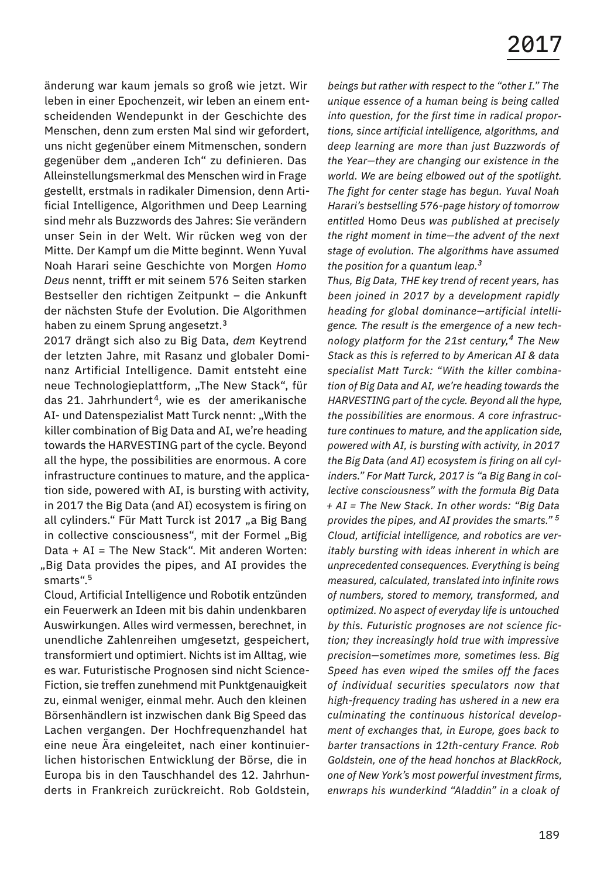änderung war kaum jemals so groß wie jetzt. Wir leben in einer Epochenzeit, wir leben an einem entscheidenden Wendepunkt in der Geschichte des Menschen, denn zum ersten Mal sind wir gefordert, uns nicht gegenüber einem Mitmenschen, sondern gegenüber dem "anderen Ich" zu definieren. Das Alleinstellungsmerkmal des Menschen wird in Frage gestellt, erstmals in radikaler Dimension, denn Artificial Intelligence, Algorithmen und Deep Learning sind mehr als Buzzwords des Jahres: Sie verändern unser Sein in der Welt. Wir rücken weg von der Mitte. Der Kampf um die Mitte beginnt. Wenn Yuval Noah Harari seine Geschichte von Morgen *Homo Deus* nennt, trifft er mit seinem 576 Seiten starken Bestseller den richtigen Zeitpunkt – die Ankunft der nächsten Stufe der Evolution. Die Algorithmen haben zu einem Sprung angesetzt.<sup>3</sup>

2017 drängt sich also zu Big Data, *dem* Keytrend der letzten Jahre, mit Rasanz und globaler Dominanz Artificial Intelligence. Damit entsteht eine neue Technologieplattform, "The New Stack", für das 21. Jahrhundert <sup>4</sup>, wie es der amerikanische AI- und Datenspezialist Matt Turck nennt: "With the killer combination of Big Data and AI, we're heading towards the HARVESTING part of the cycle. Beyond all the hype, the possibilities are enormous. A core infrastructure continues to mature, and the application side, powered with AI, is bursting with activity, in 2017 the Big Data (and AI) ecosystem is firing on all cylinders." Für Matt Turck ist 2017 "a Big Bang in collective consciousness", mit der Formel "Big Data + AI = The New Stack". Mit anderen Worten: "Big Data provides the pipes, and AI provides the smarts".<sup>5</sup>

Cloud, Artificial Intelligence und Robotik entzünden ein Feuerwerk an Ideen mit bis dahin undenkbaren Auswirkungen. Alles wird vermessen, berechnet, in unendliche Zahlenreihen umgesetzt, gespeichert, transformiert und optimiert. Nichts ist im Alltag, wie es war. Futuristische Prognosen sind nicht Science-Fiction, sie treffen zunehmend mit Punktgenauigkeit zu, einmal weniger, einmal mehr. Auch den kleinen Börsenhändlern ist inzwischen dank Big Speed das Lachen vergangen. Der Hochfrequenzhandel hat eine neue Ära eingeleitet, nach einer kontinuierlichen historischen Entwicklung der Börse, die in Europa bis in den Tauschhandel des 12. Jahrhunderts in Frankreich zurückreicht. Rob Goldstein, *beings but rather with respect to the "other I." The unique essence of a human being is being called into question, for the first time in radical proportions, since artificial intelligence, algorithms, and deep learning are more than just Buzzwords of the Year—they are changing our existence in the world. We are being elbowed out of the spotlight. The fight for center stage has begun. Yuval Noah Harari's bestselling 576-page history of tomorrow entitled* Homo Deus *was published at precisely the right moment in time—the advent of the next stage of evolution. The algorithms have assumed the position for a quantum leap.<sup>3</sup>*

*Thus, Big Data, THE key trend of recent years, has been joined in 2017 by a development rapidly heading for global dominance—artificial intelligence. The result is the emergence of a new technology platform for the 21st century,4 The New Stack as this is referred to by American AI & data specialist Matt Turck: "With the killer combination of Big Data and AI, we're heading towards the HARVESTING part of the cycle. Beyond all the hype, the possibilities are enormous. A core infrastructure continues to mature, and the application side, powered with AI, is bursting with activity, in 2017 the Big Data (and AI) ecosystem is firing on all cylinders." For Matt Turck, 2017 is "a Big Bang in collective consciousness" with the formula Big Data + AI = The New Stack. In other words: "Big Data provides the pipes, and AI provides the smarts." <sup>5</sup> Cloud, artificial intelligence, and robotics are veritably bursting with ideas inherent in which are unprecedented consequences. Everything is being measured, calculated, translated into infinite rows of numbers, stored to memory, transformed, and optimized. No aspect of everyday life is untouched by this. Futuristic prognoses are not science fiction; they increasingly hold true with impressive precision—sometimes more, sometimes less. Big Speed has even wiped the smiles off the faces of individual securities speculators now that high-frequency trading has ushered in a new era culminating the continuous historical development of exchanges that, in Europe, goes back to barter transactions in 12th-century France. Rob Goldstein, one of the head honchos at BlackRock, one of New York's most powerful investment firms, enwraps his wunderkind "Aladdin" in a cloak of*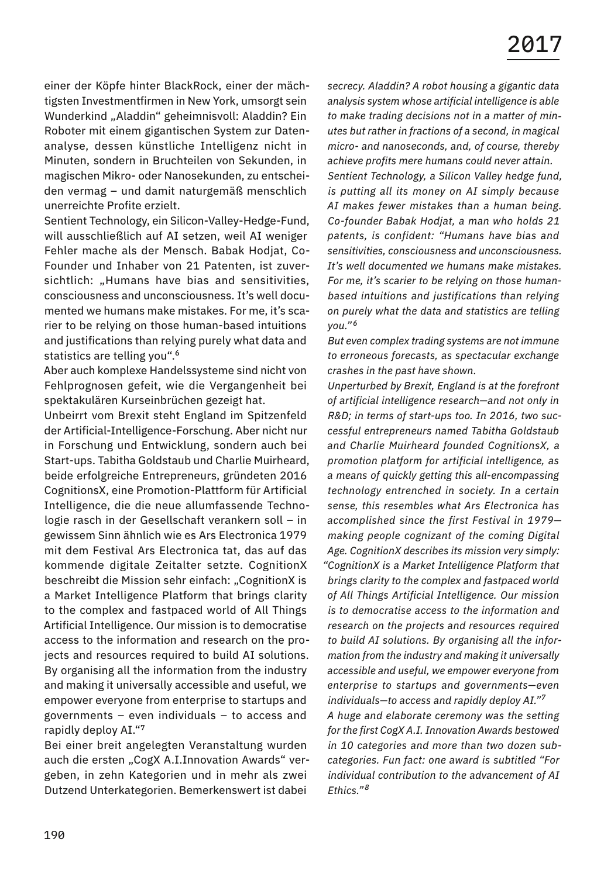einer der Köpfe hinter BlackRock, einer der mächtigsten Investmentfirmen in New York, umsorgt sein Wunderkind "Aladdin" geheimnisvoll: Aladdin? Ein Roboter mit einem gigantischen System zur Datenanalyse, dessen künstliche Intelligenz nicht in Minuten, sondern in Bruchteilen von Sekunden, in magischen Mikro- oder Nanosekunden, zu entscheiden vermag – und damit naturgemäß menschlich unerreichte Profite erzielt.

Sentient Technology, ein Silicon-Valley-Hedge-Fund, will ausschließlich auf AI setzen, weil AI weniger Fehler mache als der Mensch. Babak Hodjat, Co-Founder und Inhaber von 21 Patenten, ist zuversichtlich: "Humans have bias and sensitivities. consciousness and unconsciousness. It's well documented we humans make mistakes. For me, it's scarier to be relying on those human-based intuitions and justifications than relying purely what data and statistics are telling you".<sup>6</sup>

Aber auch komplexe Handelssysteme sind nicht von Fehlprognosen gefeit, wie die Vergangenheit bei spektakulären Kurseinbrüchen gezeigt hat.

Unbeirrt vom Brexit steht England im Spitzenfeld der Artificial-Intelligence-Forschung. Aber nicht nur in Forschung und Entwicklung, sondern auch bei Start-ups. Tabitha Goldstaub und Charlie Muirheard, beide erfolgreiche Entrepreneurs, gründeten 2016 CognitionsX, eine Promotion-Plattform für Artificial Intelligence, die die neue allumfassende Technologie rasch in der Gesellschaft verankern soll – in gewissem Sinn ähnlich wie es Ars Electronica 1979 mit dem Festival Ars Electronica tat, das auf das kommende digitale Zeitalter setzte. CognitionX beschreibt die Mission sehr einfach: "CognitionX is a Market Intelligence Platform that brings clarity to the complex and fastpaced world of All Things Artificial Intelligence. Our mission is to democratise access to the information and research on the projects and resources required to build AI solutions. By organising all the information from the industry and making it universally accessible and useful, we empower everyone from enterprise to startups and governments – even individuals – to access and rapidly deploy AI."<sup>7</sup>

Bei einer breit angelegten Veranstaltung wurden auch die ersten "CogX A.I.Innovation Awards" vergeben, in zehn Kategorien und in mehr als zwei Dutzend Unterkategorien. Bemerkenswert ist dabei

*secrecy. Aladdin? A robot housing a gigantic data analysis system whose artificial intelligence is able to make trading decisions not in a matter of minutes but rather in fractions of a second, in magical micro- and nanoseconds, and, of course, thereby achieve profits mere humans could never attain. Sentient Technology, a Silicon Valley hedge fund, is putting all its money on AI simply because AI makes fewer mistakes than a human being. Co-founder Babak Hodjat, a man who holds 21 patents, is confident: "Humans have bias and sensitivities, consciousness and unconsciousness. It's well documented we humans make mistakes. For me, it's scarier to be relying on those humanbased intuitions and justifications than relying on purely what the data and statistics are telling you." <sup>6</sup>*

*But even complex trading systems are not immune to erroneous forecasts, as spectacular exchange crashes in the past have shown.*

*Unperturbed by Brexit, England is at the forefront of artificial intelligence research—and not only in R&D; in terms of start-ups too. In 2016, two successful entrepreneurs named Tabitha Goldstaub and Charlie Muirheard founded CognitionsX, a promotion platform for artificial intelligence, as a means of quickly getting this all-encompassing technology entrenched in society. In a certain sense, this resembles what Ars Electronica has accomplished since the first Festival in 1979 making people cognizant of the coming Digital Age. CognitionX describes its mission very simply: "CognitionX is a Market Intelligence Platform that brings clarity to the complex and fastpaced world of All Things Artificial Intelligence. Our mission is to democratise access to the information and research on the projects and resources required to build AI solutions. By organising all the information from the industry and making it universally accessible and useful, we empower everyone from enterprise to startups and governments—even individuals—to access and rapidly deploy AI."<sup>7</sup> A huge and elaborate ceremony was the setting for the first CogX A.I. Innovation Awards bestowed in 10 categories and more than two dozen subcategories. Fun fact: one award is subtitled "For individual contribution to the advancement of AI Ethics." <sup>8</sup>*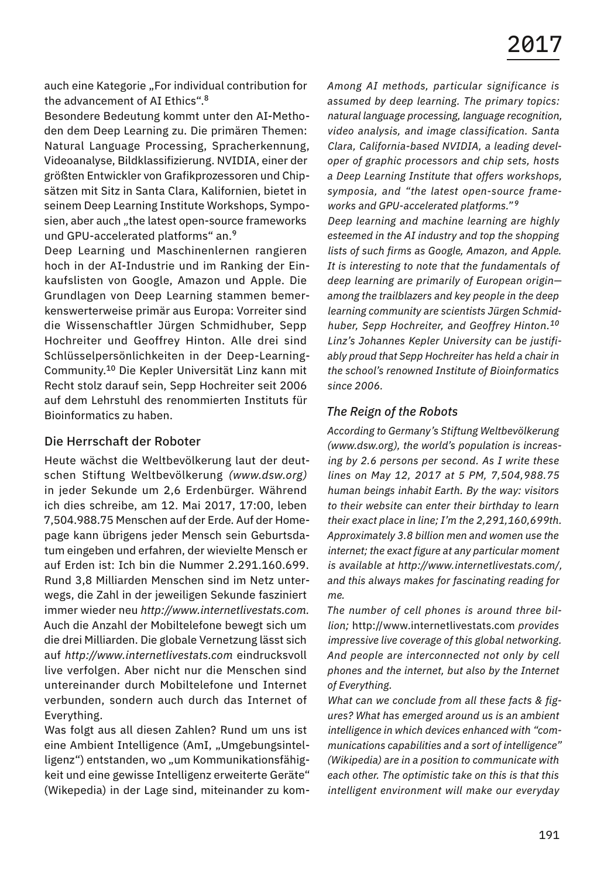auch eine Kategorie "For individual contribution for the advancement of AI Ethics".<sup>8</sup>

Besondere Bedeutung kommt unter den AI-Methoden dem Deep Learning zu. Die primären Themen: Natural Language Processing, Spracherkennung, Videoanalyse, Bildklassifizierung. NVIDIA, einer der größten Entwickler von Grafikprozessoren und Chipsätzen mit Sitz in Santa Clara, Kalifornien, bietet in seinem Deep Learning Institute Workshops, Symposien, aber auch "the latest open-source frameworks und GPU-accelerated platforms" an.<sup>9</sup>

Deep Learning und Maschinenlernen rangieren hoch in der AI-Industrie und im Ranking der Einkaufslisten von Google, Amazon und Apple. Die Grundlagen von Deep Learning stammen bemerkenswerterweise primär aus Europa: Vorreiter sind die Wissenschaftler Jürgen Schmidhuber, Sepp Hochreiter und Geoffrey Hinton. Alle drei sind Schlüsselpersönlichkeiten in der Deep-Learning-Community.<sup>10</sup> Die Kepler Universität Linz kann mit Recht stolz darauf sein, Sepp Hochreiter seit 2006 auf dem Lehrstuhl des renommierten Instituts für Bioinformatics zu haben.

#### Die Herrschaft der Roboter

Heute wächst die Weltbevölkerung laut der deutschen Stiftung Weltbevölkerung *(www.dsw.org)*  in jeder Sekunde um 2,6 Erdenbürger. Während ich dies schreibe, am 12. Mai 2017, 17:00, leben 7,504.988.75 Menschen auf der Erde. Auf der Homepage kann übrigens jeder Mensch sein Geburtsdatum eingeben und erfahren, der wievielte Mensch er auf Erden ist: Ich bin die Nummer 2.291.160.699. Rund 3,8 Milliarden Menschen sind im Netz unterwegs, die Zahl in der jeweiligen Sekunde fasziniert immer wieder neu *http://www.internetlivestats.com.* Auch die Anzahl der Mobiltelefone bewegt sich um die drei Milliarden. Die globale Vernetzung lässt sich auf *http://www.internetlivestats.com* eindrucksvoll live verfolgen. Aber nicht nur die Menschen sind untereinander durch Mobiltelefone und Internet verbunden, sondern auch durch das Internet of Everything.

Was folgt aus all diesen Zahlen? Rund um uns ist eine Ambient Intelligence (AmI, "Umgebungsintelligenz") entstanden, wo "um Kommunikationsfähigkeit und eine gewisse Intelligenz erweiterte Geräte" (Wikepedia) in der Lage sind, miteinander zu kom*Among AI methods, particular significance is assumed by deep learning. The primary topics: natural language processing, language recognition, video analysis, and image classification. Santa Clara, California-based NVIDIA, a leading developer of graphic processors and chip sets, hosts a Deep Learning Institute that offers workshops, symposia, and "the latest open-source frameworks and GPU-accelerated platforms." <sup>9</sup>*

*Deep learning and machine learning are highly esteemed in the AI industry and top the shopping lists of such firms as Google, Amazon, and Apple. It is interesting to note that the fundamentals of deep learning are primarily of European origin among the trailblazers and key people in the deep learning community are scientists Jürgen Schmidhuber, Sepp Hochreiter, and Geoffrey Hinton.<sup>10</sup> Linz's Johannes Kepler University can be justifiably proud that Sepp Hochreiter has held a chair in the school's renowned Institute of Bioinformatics since 2006.*

### *The Reign of the Robots*

*According to Germany's Stiftung Weltbevölkerung (www.dsw.org), the world's population is increasing by 2.6 persons per second. As I write these lines on May 12, 2017 at 5 PM, 7,504,988.75 human beings inhabit Earth. By the way: visitors to their website can enter their birthday to learn their exact place in line; I'm the 2,291,160,699th. Approximately 3.8 billion men and women use the internet; the exact figure at any particular moment is available at http://www.internetlivestats.com/, and this always makes for fascinating reading for me.*

*The number of cell phones is around three billion;* http://www.internetlivestats.com *provides impressive live coverage of this global networking. And people are interconnected not only by cell phones and the internet, but also by the Internet of Everything.*

*What can we conclude from all these facts & figures? What has emerged around us is an ambient intelligence in which devices enhanced with "communications capabilities and a sort of intelligence" (Wikipedia) are in a position to communicate with each other. The optimistic take on this is that this intelligent environment will make our everyday*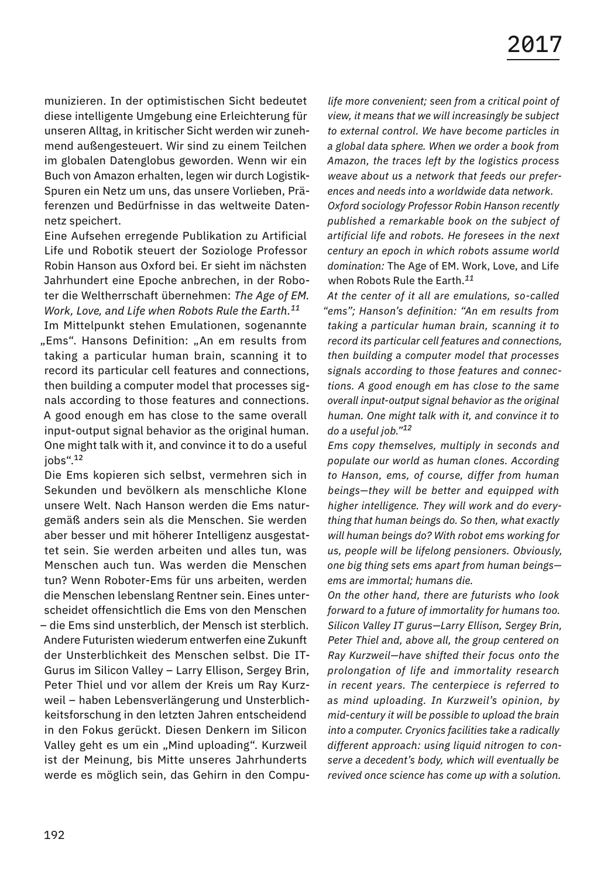munizieren. In der optimistischen Sicht bedeutet diese intelligente Umgebung eine Erleichterung für unseren Alltag, in kritischer Sicht werden wir zunehmend außengesteuert. Wir sind zu einem Teilchen im globalen Datenglobus geworden. Wenn wir ein Buch von Amazon erhalten, legen wir durch Logistik-Spuren ein Netz um uns, das unsere Vorlieben, Präferenzen und Bedürfnisse in das weltweite Datennetz speichert.

Eine Aufsehen erregende Publikation zu Artificial Life und Robotik steuert der Soziologe Professor Robin Hanson aus Oxford bei. Er sieht im nächsten Jahrhundert eine Epoche anbrechen, in der Roboter die Weltherrschaft übernehmen: *The Age of EM. Work, Love, and Life when Robots Rule the Earth.<sup>11</sup>*

Im Mittelpunkt stehen Emulationen, sogenannte "Ems". Hansons Definition: "An em results from taking a particular human brain, scanning it to record its particular cell features and connections, then building a computer model that processes signals according to those features and connections. A good enough em has close to the same overall input-output signal behavior as the original human. One might talk with it, and convince it to do a useful jobs".<sup>12</sup>

Die Ems kopieren sich selbst, vermehren sich in Sekunden und bevölkern als menschliche Klone unsere Welt. Nach Hanson werden die Ems naturgemäß anders sein als die Menschen. Sie werden aber besser und mit höherer Intelligenz ausgestattet sein. Sie werden arbeiten und alles tun, was Menschen auch tun. Was werden die Menschen tun? Wenn Roboter-Ems für uns arbeiten, werden die Menschen lebenslang Rentner sein. Eines unterscheidet offensichtlich die Ems von den Menschen – die Ems sind unsterblich, der Mensch ist sterblich. Andere Futuristen wiederum entwerfen eine Zukunft der Unsterblichkeit des Menschen selbst. Die IT-Gurus im Silicon Valley – Larry Ellison, Sergey Brin, Peter Thiel und vor allem der Kreis um Ray Kurzweil – haben Lebensverlängerung und Unsterblichkeitsforschung in den letzten Jahren entscheidend in den Fokus gerückt. Diesen Denkern im Silicon Valley geht es um ein "Mind uploading". Kurzweil ist der Meinung, bis Mitte unseres Jahrhunderts werde es möglich sein, das Gehirn in den Compu-

*life more convenient; seen from a critical point of view, it means that we will increasingly be subject to external control. We have become particles in a global data sphere. When we order a book from Amazon, the traces left by the logistics process weave about us a network that feeds our preferences and needs into a worldwide data network.*

*Oxford sociology Professor Robin Hanson recently published a remarkable book on the subject of artificial life and robots. He foresees in the next century an epoch in which robots assume world domination:* The Age of EM. Work, Love, and Life when Robots Rule the Earth.*<sup>11</sup>*

*At the center of it all are emulations, so-called "ems"; Hanson's definition: "An em results from taking a particular human brain, scanning it to record its particular cell features and connections, then building a computer model that processes signals according to those features and connections. A good enough em has close to the same overall input-output signal behavior as the original human. One might talk with it, and convince it to do a useful job."<sup>12</sup>*

*Ems copy themselves, multiply in seconds and populate our world as human clones. According to Hanson, ems, of course, differ from human beings—they will be better and equipped with higher intelligence. They will work and do everything that human beings do. So then, what exactly will human beings do? With robot ems working for us, people will be lifelong pensioners. Obviously, one big thing sets ems apart from human beings ems are immortal; humans die.*

*On the other hand, there are futurists who look forward to a future of immortality for humans too. Silicon Valley IT gurus—Larry Ellison, Sergey Brin, Peter Thiel and, above all, the group centered on Ray Kurzweil—have shifted their focus onto the prolongation of life and immortality research in recent years. The centerpiece is referred to as mind uploading. In Kurzweil's opinion, by mid-century it will be possible to upload the brain into a computer. Cryonics facilities take a radically different approach: using liquid nitrogen to conserve a decedent's body, which will eventually be revived once science has come up with a solution.*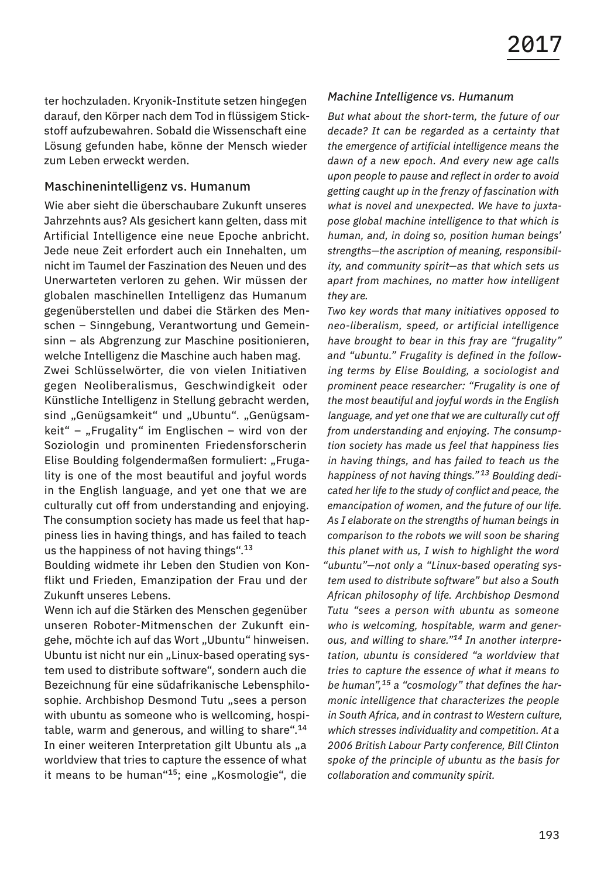ter hochzuladen. Kryonik-Institute setzen hingegen darauf, den Körper nach dem Tod in flüssigem Stickstoff aufzubewahren. Sobald die Wissenschaft eine Lösung gefunden habe, könne der Mensch wieder zum Leben erweckt werden.

#### Maschinenintelligenz vs. Humanum

Wie aber sieht die überschaubare Zukunft unseres Jahrzehnts aus? Als gesichert kann gelten, dass mit Artificial Intelligence eine neue Epoche anbricht. Jede neue Zeit erfordert auch ein Innehalten, um nicht im Taumel der Faszination des Neuen und des Unerwarteten verloren zu gehen. Wir müssen der globalen maschinellen Intelligenz das Humanum gegenüberstellen und dabei die Stärken des Menschen – Sinngebung, Verantwortung und Gemeinsinn – als Abgrenzung zur Maschine positionieren, welche Intelligenz die Maschine auch haben mag. Zwei Schlüsselwörter, die von vielen Initiativen gegen Neoliberalismus, Geschwindigkeit oder Künstliche Intelligenz in Stellung gebracht werden, sind "Genügsamkeit" und "Ubuntu". "Genügsam $keit'' -$  "Frugality" im Englischen – wird von der Soziologin und prominenten Friedensforscherin Elise Boulding folgendermaßen formuliert: "Frugality is one of the most beautiful and joyful words in the English language, and yet one that we are culturally cut off from understanding and enjoying. The consumption society has made us feel that happiness lies in having things, and has failed to teach us the happiness of not having things".<sup>13</sup>

Boulding widmete ihr Leben den Studien von Konflikt und Frieden, Emanzipation der Frau und der Zukunft unseres Lebens.

Wenn ich auf die Stärken des Menschen gegenüber unseren Roboter-Mitmenschen der Zukunft eingehe, möchte ich auf das Wort "Ubuntu" hinweisen. Ubuntu ist nicht nur ein "Linux-based operating system used to distribute software", sondern auch die Bezeichnung für eine südafrikanische Lebensphilosophie. Archbishop Desmond Tutu "sees a person with ubuntu as someone who is wellcoming, hospitable, warm and generous, and willing to share".<sup>14</sup> In einer weiteren Interpretation gilt Ubuntu als "a worldview that tries to capture the essence of what it means to be human<sup>"15</sup>; eine "Kosmologie", die

#### *Machine Intelligence vs. Humanum*

*But what about the short-term, the future of our decade? It can be regarded as a certainty that the emergence of artificial intelligence means the dawn of a new epoch. And every new age calls upon people to pause and reflect in order to avoid getting caught up in the frenzy of fascination with what is novel and unexpected. We have to juxtapose global machine intelligence to that which is human, and, in doing so, position human beings' strengths—the ascription of meaning, responsibility, and community spirit—as that which sets us apart from machines, no matter how intelligent they are.*

*Two key words that many initiatives opposed to neo-liberalism, speed, or artificial intelligence have brought to bear in this fray are "frugality" and "ubuntu." Frugality is defined in the following terms by Elise Boulding, a sociologist and prominent peace researcher: "Frugality is one of the most beautiful and joyful words in the English language, and yet one that we are culturally cut off from understanding and enjoying. The consumption society has made us feel that happiness lies in having things, and has failed to teach us the happiness of not having things." <sup>13</sup> Boulding dedicated her life to the study of conflict and peace, the emancipation of women, and the future of our life. As I elaborate on the strengths of human beings in comparison to the robots we will soon be sharing this planet with us, I wish to highlight the word "ubuntu"—not only a "Linux-based operating system used to distribute software" but also a South African philosophy of life. Archbishop Desmond Tutu "sees a person with ubuntu as someone who is welcoming, hospitable, warm and generous, and willing to share."14 In another interpretation, ubuntu is considered "a worldview that tries to capture the essence of what it means to be human",15 a "cosmology" that defines the harmonic intelligence that characterizes the people in South Africa, and in contrast to Western culture, which stresses individuality and competition. At a 2006 British Labour Party conference, Bill Clinton spoke of the principle of ubuntu as the basis for collaboration and community spirit.*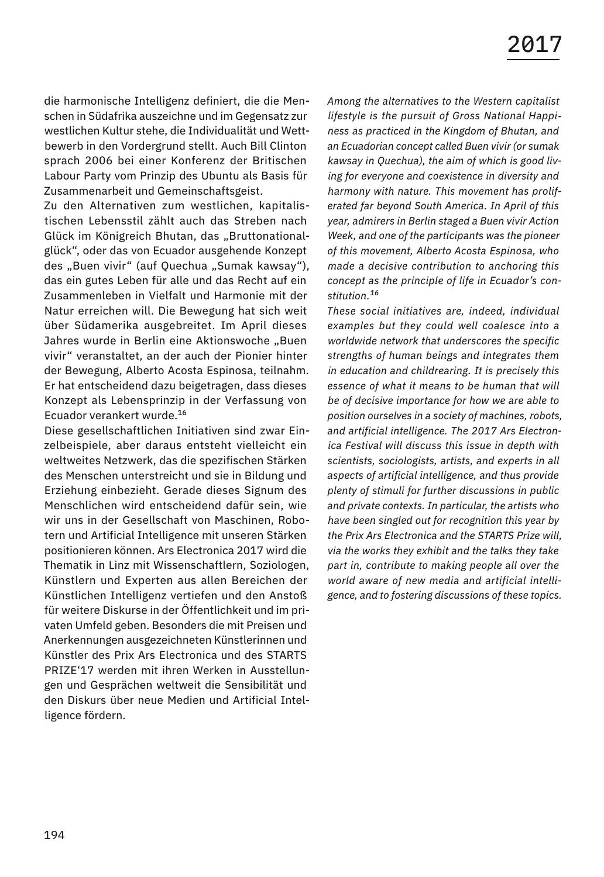die harmonische Intelligenz definiert, die die Menschen in Südafrika auszeichne und im Gegensatz zur westlichen Kultur stehe, die Individualität und Wettbewerb in den Vordergrund stellt. Auch Bill Clinton sprach 2006 bei einer Konferenz der Britischen Labour Party vom Prinzip des Ubuntu als Basis für Zusammenarbeit und Gemeinschaftsgeist.

Zu den Alternativen zum westlichen, kapitalistischen Lebensstil zählt auch das Streben nach Glück im Königreich Bhutan, das "Bruttonationalglück", oder das von Ecuador ausgehende Konzept des "Buen vivir" (auf Quechua "Sumak kawsay"), das ein gutes Leben für alle und das Recht auf ein Zusammenleben in Vielfalt und Harmonie mit der Natur erreichen will. Die Bewegung hat sich weit über Südamerika ausgebreitet. Im April dieses Jahres wurde in Berlin eine Aktionswoche "Buen vivir" veranstaltet, an der auch der Pionier hinter der Bewegung, Alberto Acosta Espinosa, teilnahm. Er hat entscheidend dazu beigetragen, dass dieses Konzept als Lebensprinzip in der Verfassung von Ecuador verankert wurde.<sup>16</sup>

Diese gesellschaftlichen Initiativen sind zwar Einzelbeispiele, aber daraus entsteht vielleicht ein weltweites Netzwerk, das die spezifischen Stärken des Menschen unterstreicht und sie in Bildung und Erziehung einbezieht. Gerade dieses Signum des Menschlichen wird entscheidend dafür sein, wie wir uns in der Gesellschaft von Maschinen, Robotern und Artificial Intelligence mit unseren Stärken positionieren können. Ars Electronica 2017 wird die Thematik in Linz mit Wissenschaftlern, Soziologen, Künstlern und Experten aus allen Bereichen der Künstlichen Intelligenz vertiefen und den Anstoß für weitere Diskurse in der Öffentlichkeit und im privaten Umfeld geben. Besonders die mit Preisen und Anerkennungen ausgezeichneten Künstlerinnen und Künstler des Prix Ars Electronica und des STARTS PRIZE'17 werden mit ihren Werken in Ausstellungen und Gesprächen weltweit die Sensibilität und den Diskurs über neue Medien und Artificial Intelligence fördern.

*Among the alternatives to the Western capitalist lifestyle is the pursuit of Gross National Happiness as practiced in the Kingdom of Bhutan, and an Ecuadorian concept called Buen vivir (or sumak kawsay in Quechua), the aim of which is good living for everyone and coexistence in diversity and harmony with nature. This movement has proliferated far beyond South America. In April of this year, admirers in Berlin staged a Buen vivir Action Week, and one of the participants was the pioneer of this movement, Alberto Acosta Espinosa, who made a decisive contribution to anchoring this concept as the principle of life in Ecuador's constitution.<sup>16</sup>*

*These social initiatives are, indeed, individual examples but they could well coalesce into a worldwide network that underscores the specific strengths of human beings and integrates them in education and childrearing. It is precisely this essence of what it means to be human that will be of decisive importance for how we are able to position ourselves in a society of machines, robots, and artificial intelligence. The 2017 Ars Electronica Festival will discuss this issue in depth with scientists, sociologists, artists, and experts in all aspects of artificial intelligence, and thus provide plenty of stimuli for further discussions in public and private contexts. In particular, the artists who have been singled out for recognition this year by the Prix Ars Electronica and the STARTS Prize will, via the works they exhibit and the talks they take part in, contribute to making people all over the world aware of new media and artificial intelligence, and to fostering discussions of these topics.*